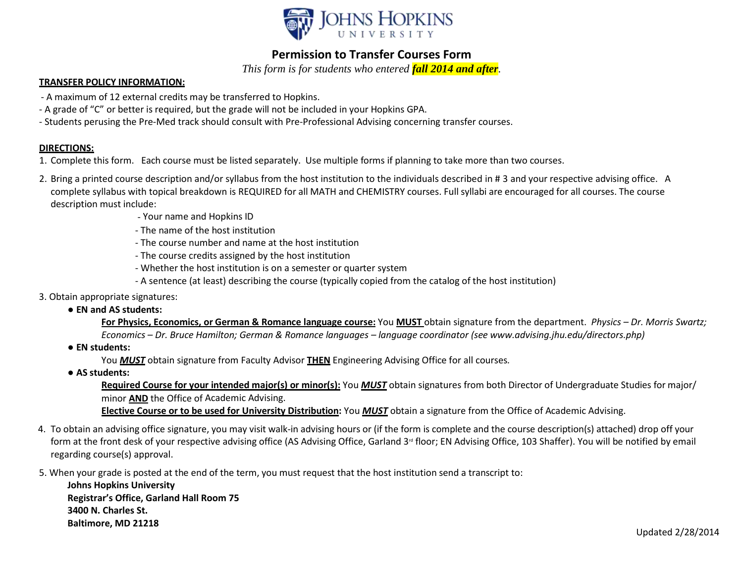

## **Permission to Transfer Courses Form**

*This form is for students who entered fall 2014 and after.*

## **TRANSFER POLICY INFORMATION:**

- A maximum of 12 external credits may be transferred to Hopkins.
- A grade of "C" or better is required, but the grade will not be included in your Hopkins GPA.
- Students perusing the Pre-Med track should consult with Pre-Professional Advising concerning transfer courses.

## **DIRECTIONS:**

- 1. Complete this form. Each course must be listed separately. Use multiple forms if planning to take more than two courses.
- 2. Bring a printed course description and/or syllabus from the host institution to the individuals described in # 3 and your respective advising office. A complete syllabus with topical breakdown is REQUIRED for all MATH and CHEMISTRY courses. Full syllabi are encouraged for all courses. The course description must include:
	- Your name and Hopkins ID
	- The name of the host institution
	- The course number and name at the host institution
	- The course credits assigned by the host institution
	- Whether the host institution is on a semester or quarter system
	- A sentence (at least) describing the course (typically copied from the catalog of the host institution)
- 3. Obtain appropriate signatures:

## ● **EN and AS students:**

- For Physics, Economics, or German & Romance language course: You MUST obtain signature from the department. Physics Dr. Morris Swartz; *Economics – Dr. Bruce Hamilton; German & Romance languages – language coordinator (see [www.advising.jhu.edu/directors.php\)](http://www.advising.jhu.edu/directors.php))*
- **EN students:**

You *MUST* obtain signature from Faculty Advisor **THEN** Engineering Advising Office for all courses*.*

● **AS students:**

**Required Course for your intended major(s) or minor(s):** You *MUST* obtain signatures from both Director of Undergraduate Studies for major/ minor **AND** the Office of Academic Advising.

**Elective Course or to be used for University Distribution:** You *MUST* obtain a signature from the Office of Academic Advising.

- 4. To obtain an advising office signature, you may visit walk-in advising hours or (if the form is complete and the course description(s) attached) drop off your form at the front desk of your respective advising office (AS Advising Office, Garland 3<sup>rd</sup> floor; EN Advising Office, 103 Shaffer). You will be notified by email regarding course(s) approval.
- 5. When your grade is posted at the end of the term, you must request that the host institution send a transcript to:

**Johns Hopkins University Registrar's Office, Garland Hall Room 75 3400 N. Charles St. Baltimore, MD 21218**